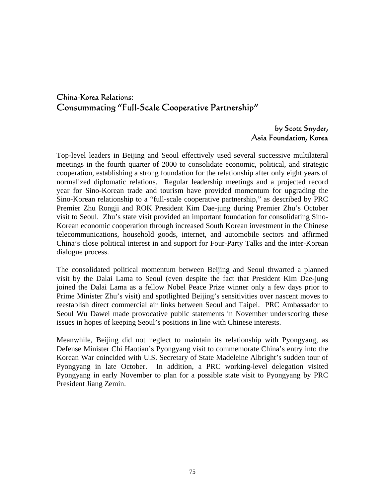# China-Korea Relations: Consummating "Full-Scale Cooperative Partnership"

## by Scott Snyder, Asia Foundation, Korea

Top-level leaders in Beijing and Seoul effectively used several successive multilateral meetings in the fourth quarter of 2000 to consolidate economic, political, and strategic cooperation, establishing a strong foundation for the relationship after only eight years of normalized diplomatic relations. Regular leadership meetings and a projected record year for Sino-Korean trade and tourism have provided momentum for upgrading the Sino-Korean relationship to a "full-scale cooperative partnership," as described by PRC Premier Zhu Rongji and ROK President Kim Dae-jung during Premier Zhu's October visit to Seoul. Zhu's state visit provided an important foundation for consolidating Sino-Korean economic cooperation through increased South Korean investment in the Chinese telecommunications, household goods, internet, and automobile sectors and affirmed China's close political interest in and support for Four-Party Talks and the inter-Korean dialogue process.

The consolidated political momentum between Beijing and Seoul thwarted a planned visit by the Dalai Lama to Seoul (even despite the fact that President Kim Dae-jung joined the Dalai Lama as a fellow Nobel Peace Prize winner only a few days prior to Prime Minister Zhu's visit) and spotlighted Beijing's sensitivities over nascent moves to reestablish direct commercial air links between Seoul and Taipei. PRC Ambassador to Seoul Wu Dawei made provocative public statements in November underscoring these issues in hopes of keeping Seoul's positions in line with Chinese interests.

Meanwhile, Beijing did not neglect to maintain its relationship with Pyongyang, as Defense Minister Chi Haotian's Pyongyang visit to commemorate China's entry into the Korean War coincided with U.S. Secretary of State Madeleine Albright's sudden tour of Pyongyang in late October. In addition, a PRC working-level delegation visited Pyongyang in early November to plan for a possible state visit to Pyongyang by PRC President Jiang Zemin.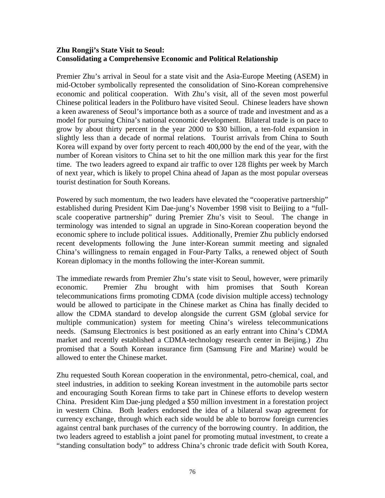#### **Zhu Rongji's State Visit to Seoul: Consolidating a Comprehensive Economic and Political Relationship**

Premier Zhu's arrival in Seoul for a state visit and the Asia-Europe Meeting (ASEM) in mid-October symbolically represented the consolidation of Sino-Korean comprehensive economic and political cooperation. With Zhu's visit, all of the seven most powerful Chinese political leaders in the Politburo have visited Seoul. Chinese leaders have shown a keen awareness of Seoul's importance both as a source of trade and investment and as a model for pursuing China's national economic development. Bilateral trade is on pace to grow by about thirty percent in the year 2000 to \$30 billion, a ten-fold expansion in slightly less than a decade of normal relations. Tourist arrivals from China to South Korea will expand by over forty percent to reach 400,000 by the end of the year, with the number of Korean visitors to China set to hit the one million mark this year for the first time. The two leaders agreed to expand air traffic to over 128 flights per week by March of next year, which is likely to propel China ahead of Japan as the most popular overseas tourist destination for South Koreans.

Powered by such momentum, the two leaders have elevated the "cooperative partnership" established during President Kim Dae-jung's November 1998 visit to Beijing to a "fullscale cooperative partnership" during Premier Zhu's visit to Seoul. The change in terminology was intended to signal an upgrade in Sino-Korean cooperation beyond the economic sphere to include political issues. Additionally, Premier Zhu publicly endorsed recent developments following the June inter-Korean summit meeting and signaled China's willingness to remain engaged in Four-Party Talks, a renewed object of South Korean diplomacy in the months following the inter-Korean summit.

The immediate rewards from Premier Zhu's state visit to Seoul, however, were primarily economic. Premier Zhu brought with him promises that South Korean telecommunications firms promoting CDMA (code division multiple access) technology would be allowed to participate in the Chinese market as China has finally decided to allow the CDMA standard to develop alongside the current GSM (global service for multiple communication) system for meeting China's wireless telecommunications needs. (Samsung Electronics is best positioned as an early entrant into China's CDMA market and recently established a CDMA-technology research center in Beijing.) Zhu promised that a South Korean insurance firm (Samsung Fire and Marine) would be allowed to enter the Chinese market.

Zhu requested South Korean cooperation in the environmental, petro-chemical, coal, and steel industries, in addition to seeking Korean investment in the automobile parts sector and encouraging South Korean firms to take part in Chinese efforts to develop western China. President Kim Dae-jung pledged a \$50 million investment in a forestation project in western China. Both leaders endorsed the idea of a bilateral swap agreement for currency exchange, through which each side would be able to borrow foreign currencies against central bank purchases of the currency of the borrowing country. In addition, the two leaders agreed to establish a joint panel for promoting mutual investment, to create a "standing consultation body" to address China's chronic trade deficit with South Korea,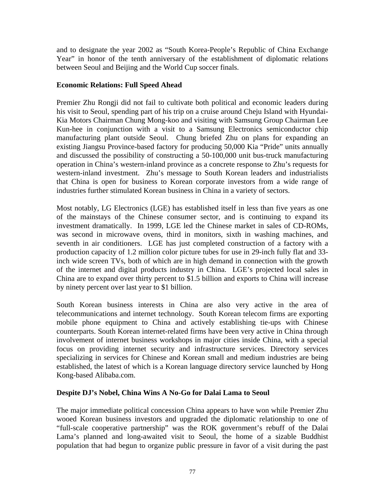and to designate the year 2002 as "South Korea-People's Republic of China Exchange Year" in honor of the tenth anniversary of the establishment of diplomatic relations between Seoul and Beijing and the World Cup soccer finals.

#### **Economic Relations: Full Speed Ahead**

Premier Zhu Rongji did not fail to cultivate both political and economic leaders during his visit to Seoul, spending part of his trip on a cruise around Cheju Island with Hyundai-Kia Motors Chairman Chung Mong-koo and visiting with Samsung Group Chairman Lee Kun-hee in conjunction with a visit to a Samsung Electronics semiconductor chip manufacturing plant outside Seoul. Chung briefed Zhu on plans for expanding an existing Jiangsu Province-based factory for producing 50,000 Kia "Pride" units annually and discussed the possibility of constructing a 50-100,000 unit bus-truck manufacturing operation in China's western-inland province as a concrete response to Zhu's requests for western-inland investment. Zhu's message to South Korean leaders and industrialists that China is open for business to Korean corporate investors from a wide range of industries further stimulated Korean business in China in a variety of sectors.

Most notably, LG Electronics (LGE) has established itself in less than five years as one of the mainstays of the Chinese consumer sector, and is continuing to expand its investment dramatically. In 1999, LGE led the Chinese market in sales of CD-ROMs, was second in microwave ovens, third in monitors, sixth in washing machines, and seventh in air conditioners. LGE has just completed construction of a factory with a production capacity of 1.2 million color picture tubes for use in 29-inch fully flat and 33 inch wide screen TVs, both of which are in high demand in connection with the growth of the internet and digital products industry in China. LGE's projected local sales in China are to expand over thirty percent to \$1.5 billion and exports to China will increase by ninety percent over last year to \$1 billion.

South Korean business interests in China are also very active in the area of telecommunications and internet technology. South Korean telecom firms are exporting mobile phone equipment to China and actively establishing tie-ups with Chinese counterparts. South Korean internet-related firms have been very active in China through involvement of internet business workshops in major cities inside China, with a special focus on providing internet security and infrastructure services. Directory services specializing in services for Chinese and Korean small and medium industries are being established, the latest of which is a Korean language directory service launched by Hong Kong-based Alibaba.com.

#### **Despite DJ's Nobel, China Wins A No-Go for Dalai Lama to Seoul**

The major immediate political concession China appears to have won while Premier Zhu wooed Korean business investors and upgraded the diplomatic relationship to one of "full-scale cooperative partnership" was the ROK government's rebuff of the Dalai Lama's planned and long-awaited visit to Seoul, the home of a sizable Buddhist population that had begun to organize public pressure in favor of a visit during the past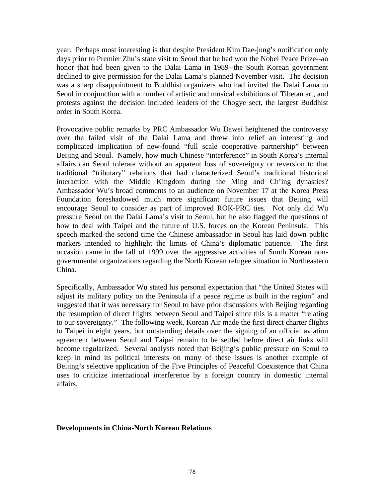year. Perhaps most interesting is that despite President Kim Dae-jung's notification only days prior to Premier Zhu's state visit to Seoul that he had won the Nobel Peace Prize--an honor that had been given to the Dalai Lama in 1989--the South Korean government declined to give permission for the Dalai Lama's planned November visit. The decision was a sharp disappointment to Buddhist organizers who had invited the Dalai Lama to Seoul in conjunction with a number of artistic and musical exhibitions of Tibetan art, and protests against the decision included leaders of the Chogye sect, the largest Buddhist order in South Korea.

Provocative public remarks by PRC Ambassador Wu Dawei heightened the controversy over the failed visit of the Dalai Lama and threw into relief an interesting and complicated implication of new-found "full scale cooperative partnership" between Beijing and Seoul. Namely, how much Chinese "interference" in South Korea's internal affairs can Seoul tolerate without an apparent loss of sovereignty or reversion to that traditional "tributary" relations that had characterized Seoul's traditional historical interaction with the Middle Kingdom during the Ming and Ch'ing dynasties? Ambassador Wu's broad comments to an audience on November 17 at the Korea Press Foundation foreshadowed much more significant future issues that Beijing will encourage Seoul to consider as part of improved ROK-PRC ties. Not only did Wu pressure Seoul on the Dalai Lama's visit to Seoul, but he also flagged the questions of how to deal with Taipei and the future of U.S. forces on the Korean Peninsula. This speech marked the second time the Chinese ambassador in Seoul has laid down public markers intended to highlight the limits of China's diplomatic patience. The first occasion came in the fall of 1999 over the aggressive activities of South Korean nongovernmental organizations regarding the North Korean refugee situation in Northeastern China.

Specifically, Ambassador Wu stated his personal expectation that "the United States will adjust its military policy on the Peninsula if a peace regime is built in the region" and suggested that it was necessary for Seoul to have prior discussions with Beijing regarding the resumption of direct flights between Seoul and Taipei since this is a matter "relating to our sovereignty." The following week, Korean Air made the first direct charter flights to Taipei in eight years, but outstanding details over the signing of an official aviation agreement between Seoul and Taipei remain to be settled before direct air links will become regularized. Several analysts noted that Beijing's public pressure on Seoul to keep in mind its political interests on many of these issues is another example of Beijing's selective application of the Five Principles of Peaceful Coexistence that China uses to criticize international interference by a foreign country in domestic internal affairs.

#### **Developments in China-North Korean Relations**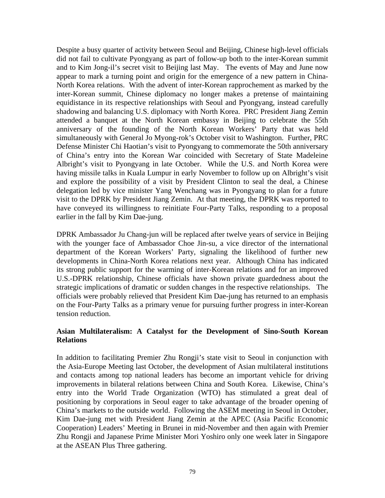Despite a busy quarter of activity between Seoul and Beijing, Chinese high-level officials did not fail to cultivate Pyongyang as part of follow-up both to the inter-Korean summit and to Kim Jong-il's secret visit to Beijing last May. The events of May and June now appear to mark a turning point and origin for the emergence of a new pattern in China-North Korea relations. With the advent of inter-Korean rapprochement as marked by the inter-Korean summit, Chinese diplomacy no longer makes a pretense of maintaining equidistance in its respective relationships with Seoul and Pyongyang, instead carefully shadowing and balancing U.S. diplomacy with North Korea. PRC President Jiang Zemin attended a banquet at the North Korean embassy in Beijing to celebrate the 55th anniversary of the founding of the North Korean Workers' Party that was held simultaneously with General Jo Myong-rok's October visit to Washington. Further, PRC Defense Minister Chi Haotian's visit to Pyongyang to commemorate the 50th anniversary of China's entry into the Korean War coincided with Secretary of State Madeleine Albright's visit to Pyongyang in late October. While the U.S. and North Korea were having missile talks in Kuala Lumpur in early November to follow up on Albright's visit and explore the possibility of a visit by President Clinton to seal the deal, a Chinese delegation led by vice minister Yang Wenchang was in Pyongyang to plan for a future visit to the DPRK by President Jiang Zemin. At that meeting, the DPRK was reported to have conveyed its willingness to reinitiate Four-Party Talks, responding to a proposal earlier in the fall by Kim Dae-jung.

DPRK Ambassador Ju Chang-jun will be replaced after twelve years of service in Beijing with the younger face of Ambassador Choe Jin-su, a vice director of the international department of the Korean Workers' Party, signaling the likelihood of further new developments in China-North Korea relations next year. Although China has indicated its strong public support for the warming of inter-Korean relations and for an improved U.S.-DPRK relationship, Chinese officials have shown private guardedness about the strategic implications of dramatic or sudden changes in the respective relationships. The officials were probably relieved that President Kim Dae-jung has returned to an emphasis on the Four-Party Talks as a primary venue for pursuing further progress in inter-Korean tension reduction.

#### **Asian Multilateralism: A Catalyst for the Development of Sino-South Korean Relations**

In addition to facilitating Premier Zhu Rongji's state visit to Seoul in conjunction with the Asia-Europe Meeting last October, the development of Asian multilateral institutions and contacts among top national leaders has become an important vehicle for driving improvements in bilateral relations between China and South Korea. Likewise, China's entry into the World Trade Organization (WTO) has stimulated a great deal of positioning by corporations in Seoul eager to take advantage of the broader opening of China's markets to the outside world. Following the ASEM meeting in Seoul in October, Kim Dae-jung met with President Jiang Zemin at the APEC (Asia Pacific Economic Cooperation) Leaders' Meeting in Brunei in mid-November and then again with Premier Zhu Rongji and Japanese Prime Minister Mori Yoshiro only one week later in Singapore at the ASEAN Plus Three gathering.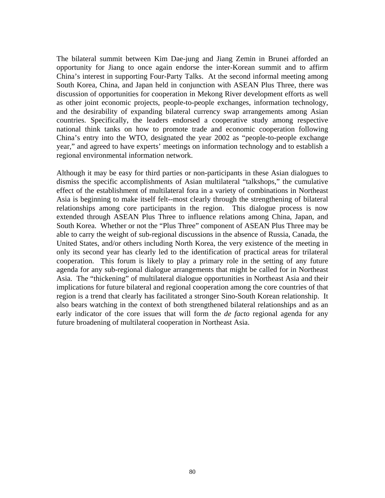The bilateral summit between Kim Dae-jung and Jiang Zemin in Brunei afforded an opportunity for Jiang to once again endorse the inter-Korean summit and to affirm China's interest in supporting Four-Party Talks. At the second informal meeting among South Korea, China, and Japan held in conjunction with ASEAN Plus Three, there was discussion of opportunities for cooperation in Mekong River development efforts as well as other joint economic projects, people-to-people exchanges, information technology, and the desirability of expanding bilateral currency swap arrangements among Asian countries. Specifically, the leaders endorsed a cooperative study among respective national think tanks on how to promote trade and economic cooperation following China's entry into the WTO, designated the year 2002 as "people-to-people exchange year," and agreed to have experts' meetings on information technology and to establish a regional environmental information network.

Although it may be easy for third parties or non-participants in these Asian dialogues to dismiss the specific accomplishments of Asian multilateral "talkshops," the cumulative effect of the establishment of multilateral fora in a variety of combinations in Northeast Asia is beginning to make itself felt--most clearly through the strengthening of bilateral relationships among core participants in the region. This dialogue process is now extended through ASEAN Plus Three to influence relations among China, Japan, and South Korea. Whether or not the "Plus Three" component of ASEAN Plus Three may be able to carry the weight of sub-regional discussions in the absence of Russia, Canada, the United States, and/or others including North Korea, the very existence of the meeting in only its second year has clearly led to the identification of practical areas for trilateral cooperation. This forum is likely to play a primary role in the setting of any future agenda for any sub-regional dialogue arrangements that might be called for in Northeast Asia. The "thickening" of multilateral dialogue opportunities in Northeast Asia and their implications for future bilateral and regional cooperation among the core countries of that region is a trend that clearly has facilitated a stronger Sino-South Korean relationship. It also bears watching in the context of both strengthened bilateral relationships and as an early indicator of the core issues that will form the *de facto* regional agenda for any future broadening of multilateral cooperation in Northeast Asia.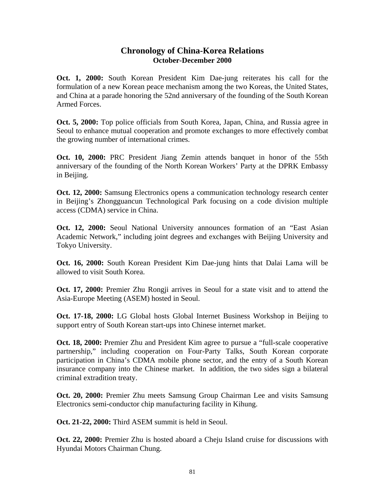### **Chronology of China-Korea Relations October-December 2000**

**Oct. 1, 2000:** South Korean President Kim Dae-jung reiterates his call for the formulation of a new Korean peace mechanism among the two Koreas, the United States, and China at a parade honoring the 52nd anniversary of the founding of the South Korean Armed Forces.

**Oct. 5, 2000:** Top police officials from South Korea, Japan, China, and Russia agree in Seoul to enhance mutual cooperation and promote exchanges to more effectively combat the growing number of international crimes.

**Oct. 10, 2000:** PRC President Jiang Zemin attends banquet in honor of the 55th anniversary of the founding of the North Korean Workers' Party at the DPRK Embassy in Beijing.

**Oct. 12, 2000:** Samsung Electronics opens a communication technology research center in Beijing's Zhongguancun Technological Park focusing on a code division multiple access (CDMA) service in China.

**Oct. 12, 2000:** Seoul National University announces formation of an "East Asian Academic Network," including joint degrees and exchanges with Beijing University and Tokyo University.

**Oct. 16, 2000:** South Korean President Kim Dae-jung hints that Dalai Lama will be allowed to visit South Korea.

**Oct. 17, 2000:** Premier Zhu Rongji arrives in Seoul for a state visit and to attend the Asia-Europe Meeting (ASEM) hosted in Seoul.

**Oct. 17-18, 2000:** LG Global hosts Global Internet Business Workshop in Beijing to support entry of South Korean start-ups into Chinese internet market.

**Oct. 18, 2000:** Premier Zhu and President Kim agree to pursue a "full-scale cooperative partnership," including cooperation on Four-Party Talks, South Korean corporate participation in China's CDMA mobile phone sector, and the entry of a South Korean insurance company into the Chinese market. In addition, the two sides sign a bilateral criminal extradition treaty.

**Oct. 20, 2000:** Premier Zhu meets Samsung Group Chairman Lee and visits Samsung Electronics semi-conductor chip manufacturing facility in Kihung.

**Oct. 21-22, 2000:** Third ASEM summit is held in Seoul.

**Oct. 22, 2000:** Premier Zhu is hosted aboard a Cheju Island cruise for discussions with Hyundai Motors Chairman Chung.